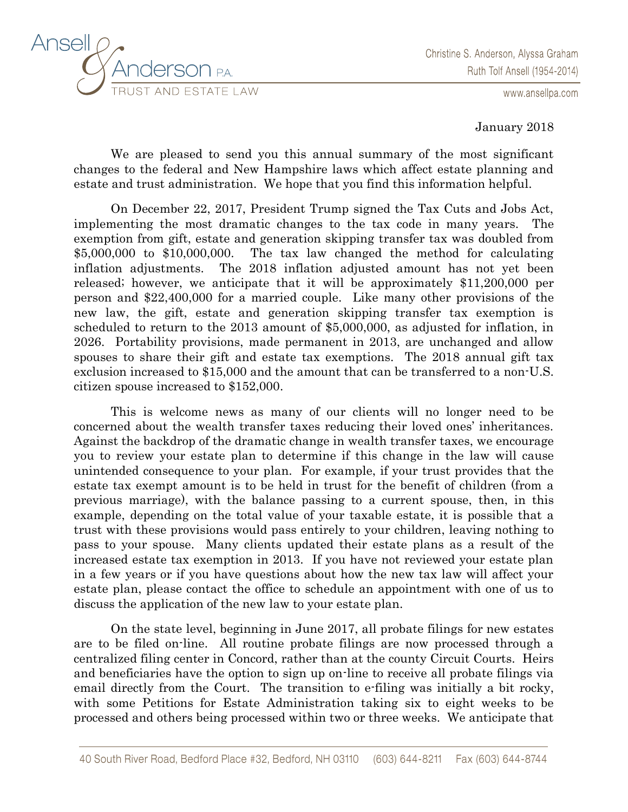

www.ansellpa.com

January 2018

We are pleased to send you this annual summary of the most significant changes to the federal and New Hampshire laws which affect estate planning and estate and trust administration. We hope that you find this information helpful.

On December 22, 2017, President Trump signed the Tax Cuts and Jobs Act, implementing the most dramatic changes to the tax code in many years. The exemption from gift, estate and generation skipping transfer tax was doubled from \$5,000,000 to \$10,000,000. The tax law changed the method for calculating inflation adjustments. The 2018 inflation adjusted amount has not yet been released; however, we anticipate that it will be approximately \$11,200,000 per person and \$22,400,000 for a married couple. Like many other provisions of the new law, the gift, estate and generation skipping transfer tax exemption is scheduled to return to the 2013 amount of \$5,000,000, as adjusted for inflation, in 2026. Portability provisions, made permanent in 2013, are unchanged and allow spouses to share their gift and estate tax exemptions. The 2018 annual gift tax exclusion increased to \$15,000 and the amount that can be transferred to a non-U.S. citizen spouse increased to \$152,000.

This is welcome news as many of our clients will no longer need to be concerned about the wealth transfer taxes reducing their loved ones' inheritances. Against the backdrop of the dramatic change in wealth transfer taxes, we encourage you to review your estate plan to determine if this change in the law will cause unintended consequence to your plan. For example, if your trust provides that the estate tax exempt amount is to be held in trust for the benefit of children (from a previous marriage), with the balance passing to a current spouse, then, in this example, depending on the total value of your taxable estate, it is possible that a trust with these provisions would pass entirely to your children, leaving nothing to pass to your spouse. Many clients updated their estate plans as a result of the increased estate tax exemption in 2013. If you have not reviewed your estate plan in a few years or if you have questions about how the new tax law will affect your estate plan, please contact the office to schedule an appointment with one of us to discuss the application of the new law to your estate plan.

On the state level, beginning in June 2017, all probate filings for new estates are to be filed on-line. All routine probate filings are now processed through a centralized filing center in Concord, rather than at the county Circuit Courts. Heirs and beneficiaries have the option to sign up on-line to receive all probate filings via email directly from the Court. The transition to e-filing was initially a bit rocky, with some Petitions for Estate Administration taking six to eight weeks to be processed and others being processed within two or three weeks. We anticipate that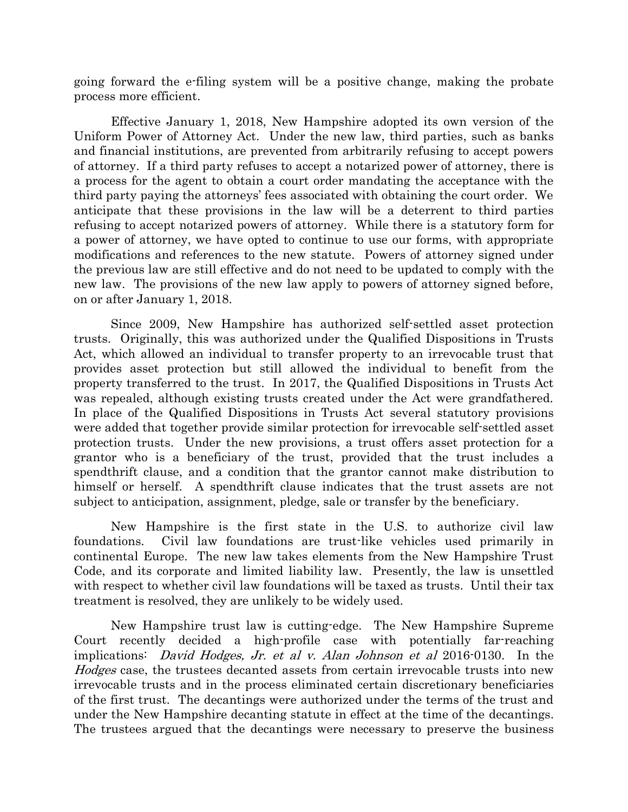going forward the e-filing system will be a positive change, making the probate process more efficient.

Effective January 1, 2018, New Hampshire adopted its own version of the Uniform Power of Attorney Act. Under the new law, third parties, such as banks and financial institutions, are prevented from arbitrarily refusing to accept powers of attorney. If a third party refuses to accept a notarized power of attorney, there is a process for the agent to obtain a court order mandating the acceptance with the third party paying the attorneys' fees associated with obtaining the court order. We anticipate that these provisions in the law will be a deterrent to third parties refusing to accept notarized powers of attorney. While there is a statutory form for a power of attorney, we have opted to continue to use our forms, with appropriate modifications and references to the new statute. Powers of attorney signed under the previous law are still effective and do not need to be updated to comply with the new law. The provisions of the new law apply to powers of attorney signed before, on or after January 1, 2018.

Since 2009, New Hampshire has authorized self-settled asset protection trusts. Originally, this was authorized under the Qualified Dispositions in Trusts Act, which allowed an individual to transfer property to an irrevocable trust that provides asset protection but still allowed the individual to benefit from the property transferred to the trust. In 2017, the Qualified Dispositions in Trusts Act was repealed, although existing trusts created under the Act were grandfathered. In place of the Qualified Dispositions in Trusts Act several statutory provisions were added that together provide similar protection for irrevocable self-settled asset protection trusts. Under the new provisions, a trust offers asset protection for a grantor who is a beneficiary of the trust, provided that the trust includes a spendthrift clause, and a condition that the grantor cannot make distribution to himself or herself. A spendthrift clause indicates that the trust assets are not subject to anticipation, assignment, pledge, sale or transfer by the beneficiary.

New Hampshire is the first state in the U.S. to authorize civil law foundations. Civil law foundations are trust-like vehicles used primarily in continental Europe. The new law takes elements from the New Hampshire Trust Code, and its corporate and limited liability law. Presently, the law is unsettled with respect to whether civil law foundations will be taxed as trusts. Until their tax treatment is resolved, they are unlikely to be widely used.

New Hampshire trust law is cutting-edge. The New Hampshire Supreme Court recently decided a high-profile case with potentially far-reaching implications: David Hodges, Jr. et al v. Alan Johnson et al 2016-0130. In the Hodges case, the trustees decanted assets from certain irrevocable trusts into new irrevocable trusts and in the process eliminated certain discretionary beneficiaries of the first trust. The decantings were authorized under the terms of the trust and under the New Hampshire decanting statute in effect at the time of the decantings. The trustees argued that the decantings were necessary to preserve the business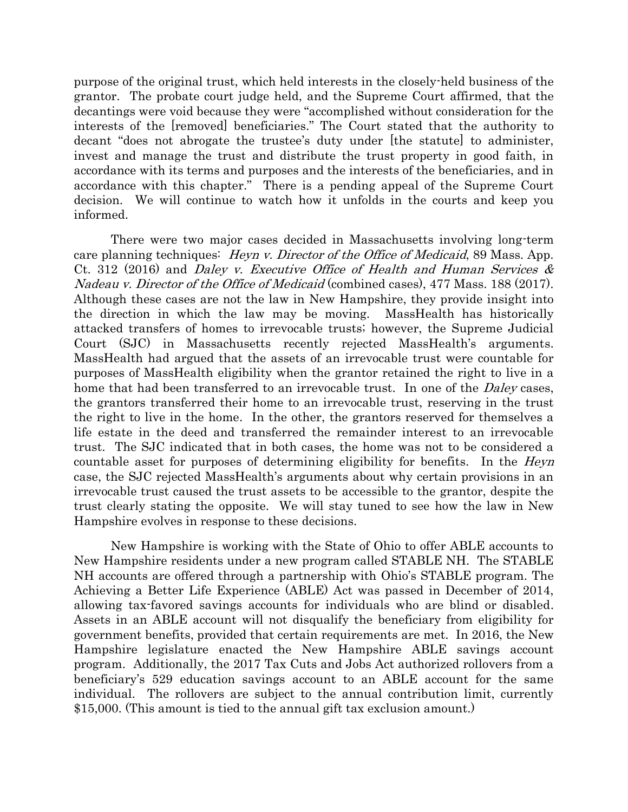purpose of the original trust, which held interests in the closely-held business of the grantor. The probate court judge held, and the Supreme Court affirmed, that the decantings were void because they were "accomplished without consideration for the interests of the [removed] beneficiaries." The Court stated that the authority to decant "does not abrogate the trustee's duty under [the statute] to administer, invest and manage the trust and distribute the trust property in good faith, in accordance with its terms and purposes and the interests of the beneficiaries, and in accordance with this chapter." There is a pending appeal of the Supreme Court decision. We will continue to watch how it unfolds in the courts and keep you informed.

There were two major cases decided in Massachusetts involving long-term care planning techniques: *Heyn v. Director of the Office of Medicaid*, 89 Mass. App. Ct. 312 (2016) and Daley v. Executive Office of Health and Human Services  $\&$ Nadeau v. Director of the Office of Medicaid (combined cases), 477 Mass. 188 (2017). Although these cases are not the law in New Hampshire, they provide insight into the direction in which the law may be moving. MassHealth has historically attacked transfers of homes to irrevocable trusts; however, the Supreme Judicial Court (SJC) in Massachusetts recently rejected MassHealth's arguments. MassHealth had argued that the assets of an irrevocable trust were countable for purposes of MassHealth eligibility when the grantor retained the right to live in a home that had been transferred to an irrevocable trust. In one of the *Daley* cases, the grantors transferred their home to an irrevocable trust, reserving in the trust the right to live in the home. In the other, the grantors reserved for themselves a life estate in the deed and transferred the remainder interest to an irrevocable trust. The SJC indicated that in both cases, the home was not to be considered a countable asset for purposes of determining eligibility for benefits. In the *Heyn* case, the SJC rejected MassHealth's arguments about why certain provisions in an irrevocable trust caused the trust assets to be accessible to the grantor, despite the trust clearly stating the opposite. We will stay tuned to see how the law in New Hampshire evolves in response to these decisions.

New Hampshire is working with the State of Ohio to offer ABLE accounts to New Hampshire residents under a new program called STABLE NH. The STABLE NH accounts are offered through a partnership with Ohio's STABLE program. The Achieving a Better Life Experience (ABLE) Act was passed in December of 2014, allowing tax-favored savings accounts for individuals who are blind or disabled. Assets in an ABLE account will not disqualify the beneficiary from eligibility for government benefits, provided that certain requirements are met. In 2016, the New Hampshire legislature enacted the New Hampshire ABLE savings account program. Additionally, the 2017 Tax Cuts and Jobs Act authorized rollovers from a beneficiary's 529 education savings account to an ABLE account for the same individual. The rollovers are subject to the annual contribution limit, currently \$15,000. (This amount is tied to the annual gift tax exclusion amount.)